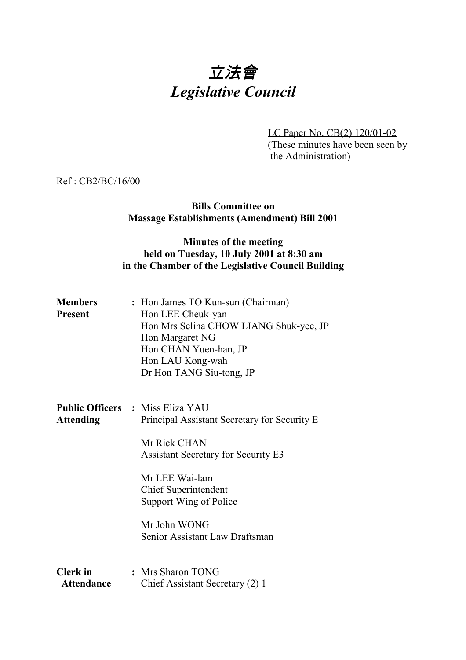# 立法會 *Legislative Council*

LC Paper No. CB(2) 120/01-02 (These minutes have been seen by the Administration)

Ref : CB2/BC/16/00

#### **Bills Committee on Massage Establishments (Amendment) Bill 2001**

#### **Minutes of the meeting held on Tuesday, 10 July 2001 at 8:30 am in the Chamber of the Legislative Council Building**

| <b>Members</b> | : Hon James TO Kun-sun (Chairman)      |
|----------------|----------------------------------------|
| Present        | Hon LEE Cheuk-yan                      |
|                | Hon Mrs Selina CHOW LIANG Shuk-yee, JP |
|                | Hon Margaret NG                        |
|                | Hon CHAN Yuen-han, JP                  |
|                | Hon LAU Kong-wah                       |
|                | Dr Hon TANG Siu-tong, JP               |

**Public Officers :** Miss Eliza YAU Attending Principal Assistant Secretary for Security E

> Mr Rick CHAN Assistant Secretary for Security E3

Mr LEE Wai-lam Chief Superintendent Support Wing of Police

Mr John WONG Senior Assistant Law Draftsman

**Clerk in :** Mrs Sharon TONG Attendance Chief Assistant Secretary (2) 1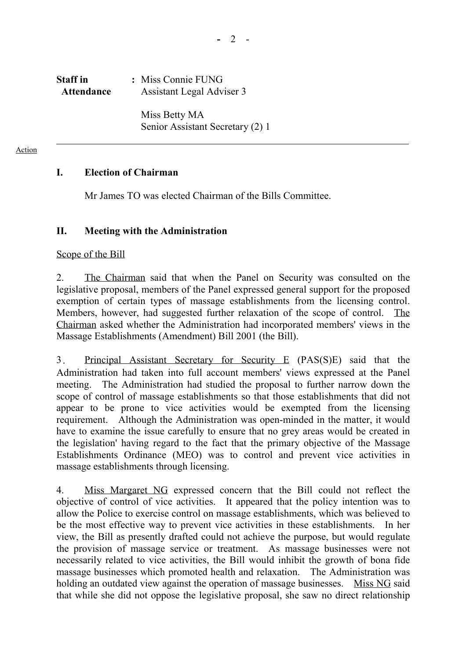# **Staff in :** Miss Connie FUNG Attendance **Assistant Legal Adviser 3**

Miss Betty MA Senior Assistant Secretary (2) 1

Action

## **I. Election of Chairman**

1. Mr James TO was elected Chairman of the Bills Committee.

## **II. Meeting with the Administration**

#### Scope of the Bill

2. The Chairman said that when the Panel on Security was consulted on the legislative proposal, members of the Panel expressed general support for the proposed exemption of certain types of massage establishments from the licensing control. Members, however, had suggested further relaxation of the scope of control. The Chairman asked whether the Administration had incorporated members' views in the Massage Establishments (Amendment) Bill 2001 (the Bill).

3. Principal Assistant Secretary for Security E (PAS(S)E) said that the Administration had taken into full account members' views expressed at the Panel meeting. The Administration had studied the proposal to further narrow down the scope of control of massage establishments so that those establishments that did not appear to be prone to vice activities would be exempted from the licensing requirement. Although the Administration was open-minded in the matter, it would have to examine the issue carefully to ensure that no grey areas would be created in the legislation' having regard to the fact that the primary objective of the Massage Establishments Ordinance (MEO) was to control and prevent vice activities in massage establishments through licensing.

4. Miss Margaret NG expressed concern that the Bill could not reflect the objective of control of vice activities. It appeared that the policy intention was to allow the Police to exercise control on massage establishments, which was believed to be the most effective way to prevent vice activities in these establishments. In her view, the Bill as presently drafted could not achieve the purpose, but would regulate the provision of massage service or treatment. As massage businesses were not necessarily related to vice activities, the Bill would inhibit the growth of bona fide massage businesses which promoted health and relaxation. The Administration was holding an outdated view against the operation of massage businesses. Miss NG said that while she did not oppose the legislative proposal, she saw no direct relationship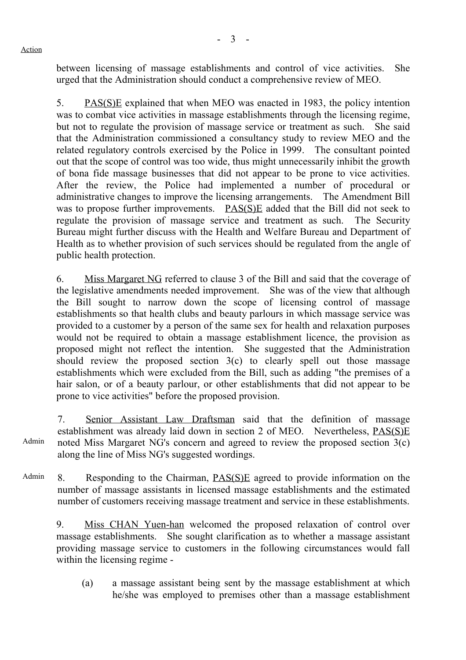Action

between licensing of massage establishments and control of vice activities. She urged that the Administration should conduct a comprehensive review of MEO.

5. PAS(S)E explained that when MEO was enacted in 1983, the policy intention was to combat vice activities in massage establishments through the licensing regime, but not to regulate the provision of massage service or treatment as such. She said that the Administration commissioned a consultancy study to review MEO and the related regulatory controls exercised by the Police in 1999. The consultant pointed out that the scope of control was too wide, thus might unnecessarily inhibit the growth of bona fide massage businesses that did not appear to be prone to vice activities. After the review, the Police had implemented a number of procedural or administrative changes to improve the licensing arrangements. The Amendment Bill was to propose further improvements. PAS(S)E added that the Bill did not seek to regulate the provision of massage service and treatment as such. The Security Bureau might further discuss with the Health and Welfare Bureau and Department of Health as to whether provision of such services should be regulated from the angle of public health protection.

6. Miss Margaret NG referred to clause 3 of the Bill and said that the coverage of the legislative amendments needed improvement. She was of the view that although the Bill sought to narrow down the scope of licensing control of massage establishments so that health clubs and beauty parlours in which massage service was provided to a customer by a person of the same sex for health and relaxation purposes would not be required to obtain a massage establishment licence, the provision as proposed might not reflect the intention. She suggested that the Administration should review the proposed section  $3(c)$  to clearly spell out those massage establishments which were excluded from the Bill, such as adding "the premises of a hair salon, or of a beauty parlour, or other establishments that did not appear to be prone to vice activities" before the proposed provision.

Admin 7. Senior Assistant Law Draftsman said that the definition of massage establishment was already laid down in section 2 of MEO. Nevertheless, PAS(S)E noted Miss Margaret NG's concern and agreed to review the proposed section 3(c) along the line of Miss NG's suggested wordings.

Admin 8. Responding to the Chairman, PAS(S)E agreed to provide information on the number of massage assistants in licensed massage establishments and the estimated number of customers receiving massage treatment and service in these establishments.

9. Miss CHAN Yuen-han welcomed the proposed relaxation of control over massage establishments. She sought clarification as to whether a massage assistant providing massage service to customers in the following circumstances would fall within the licensing regime -

(a) a massage assistant being sent by the massage establishment at which he/she was employed to premises other than a massage establishment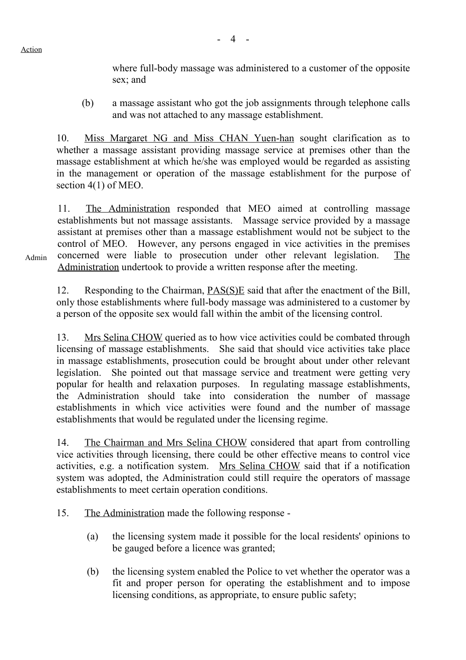Action

where full-body massage was administered to a customer of the opposite sex; and

(b) a massage assistant who got the job assignments through telephone calls and was not attached to any massage establishment.

10. Miss Margaret NG and Miss CHAN Yuen-han sought clarification as to whether a massage assistant providing massage service at premises other than the massage establishment at which he/she was employed would be regarded as assisting in the management or operation of the massage establishment for the purpose of section 4(1) of MEO.

11. The Administration responded that MEO aimed at controlling massage establishments but not massage assistants. Massage service provided by a massage assistant at premises other than a massage establishment would not be subject to the control of MEO. However, any persons engaged in vice activities in the premises concerned were liable to prosecution under other relevant legislation. The Administration undertook to provide a written response after the meeting.

12. Responding to the Chairman, PAS(S)E said that after the enactment of the Bill, only those establishments where full-body massage was administered to a customer by a person of the opposite sex would fall within the ambit of the licensing control.

13. Mrs Selina CHOW queried as to how vice activities could be combated through licensing of massage establishments. She said that should vice activities take place in massage establishments, prosecution could be brought about under other relevant legislation. She pointed out that massage service and treatment were getting very popular for health and relaxation purposes. In regulating massage establishments, the Administration should take into consideration the number of massage establishments in which vice activities were found and the number of massage establishments that would be regulated under the licensing regime.

14. The Chairman and Mrs Selina CHOW considered that apart from controlling vice activities through licensing, there could be other effective means to control vice activities, e.g. a notification system. Mrs Selina CHOW said that if a notification system was adopted, the Administration could still require the operators of massage establishments to meet certain operation conditions.

- 15. The Administration made the following response
	- (a) the licensing system made it possible for the local residents' opinions to be gauged before a licence was granted;
	- (b) the licensing system enabled the Police to vet whether the operator was a fit and proper person for operating the establishment and to impose licensing conditions, as appropriate, to ensure public safety;

Admin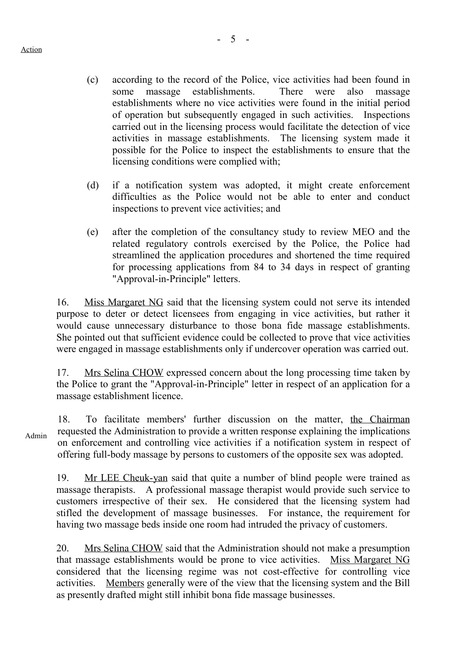- (c) according to the record of the Police, vice activities had been found in some massage establishments. There were also massage establishments where no vice activities were found in the initial period of operation but subsequently engaged in such activities. Inspections carried out in the licensing process would facilitate the detection of vice activities in massage establishments. The licensing system made it possible for the Police to inspect the establishments to ensure that the licensing conditions were complied with;
- (d) if a notification system was adopted, it might create enforcement difficulties as the Police would not be able to enter and conduct inspections to prevent vice activities; and
- (e) after the completion of the consultancy study to review MEO and the related regulatory controls exercised by the Police, the Police had streamlined the application procedures and shortened the time required for processing applications from 84 to 34 days in respect of granting "Approval-in-Principle" letters.

16. Miss Margaret NG said that the licensing system could not serve its intended purpose to deter or detect licensees from engaging in vice activities, but rather it would cause unnecessary disturbance to those bona fide massage establishments. She pointed out that sufficient evidence could be collected to prove that vice activities were engaged in massage establishments only if undercover operation was carried out.

17. Mrs Selina CHOW expressed concern about the long processing time taken by the Police to grant the "Approval-in-Principle" letter in respect of an application for a massage establishment licence.

Admin

18. To facilitate members' further discussion on the matter, the Chairman requested the Administration to provide a written response explaining the implications on enforcement and controlling vice activities if a notification system in respect of offering full-body massage by persons to customers of the opposite sex was adopted.

19. Mr LEE Cheuk-yan said that quite a number of blind people were trained as massage therapists. A professional massage therapist would provide such service to customers irrespective of their sex. He considered that the licensing system had stifled the development of massage businesses. For instance, the requirement for having two massage beds inside one room had intruded the privacy of customers.

20. Mrs Selina CHOW said that the Administration should not make a presumption that massage establishments would be prone to vice activities. Miss Margaret NG considered that the licensing regime was not cost-effective for controlling vice activities. Members generally were of the view that the licensing system and the Bill as presently drafted might still inhibit bona fide massage businesses.